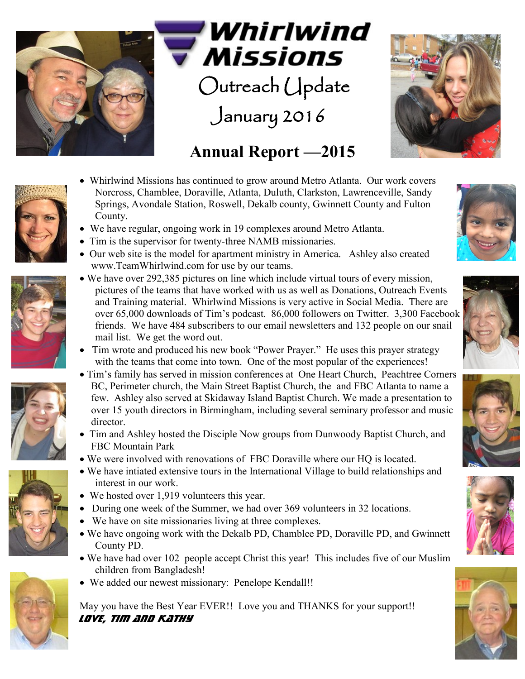

Whirlwind Missions

Outreach Update

January 2016



## **Annual Report —2015**

- Whirlwind Missions has continued to grow around Metro Atlanta. Our work covers Norcross, Chamblee, Doraville, Atlanta, Duluth, Clarkston, Lawrenceville, Sandy Springs, Avondale Station, Roswell, Dekalb county, Gwinnett County and Fulton County.
- We have regular, ongoing work in 19 complexes around Metro Atlanta.
- Tim is the supervisor for twenty-three NAMB missionaries.
- Our web site is the model for apartment ministry in America. Ashley also created www.TeamWhirlwind.com for use by our teams.







- We have over 292,385 pictures on line which include virtual tours of every mission, pictures of the teams that have worked with us as well as Donations, Outreach Events and Training material. Whirlwind Missions is very active in Social Media. There are over 65,000 downloads of Tim's podcast. 86,000 followers on Twitter. 3,300 Facebook friends. We have 484 subscribers to our email newsletters and 132 people on our snail mail list. We get the word out.
- Tim wrote and produced his new book "Power Prayer." He uses this prayer strategy with the teams that come into town. One of the most popular of the experiences!
- Tim's family has served in mission conferences at One Heart Church, Peachtree Corners BC, Perimeter church, the Main Street Baptist Church, the and FBC Atlanta to name a few. Ashley also served at Skidaway Island Baptist Church. We made a presentation to over 15 youth directors in Birmingham, including several seminary professor and music director.
- Tim and Ashley hosted the Disciple Now groups from Dunwoody Baptist Church, and FBC Mountain Park
- We were involved with renovations of FBC Doraville where our HQ is located.
- We have intiated extensive tours in the International Village to build relationships and interest in our work.
- We hosted over 1,919 volunteers this year.
- During one week of the Summer, we had over 369 volunteers in 32 locations.
- We have on site missionaries living at three complexes.
- We have ongoing work with the Dekalb PD, Chamblee PD, Doraville PD, and Gwinnett County PD.
- We have had over 102 people accept Christ this year! This includes five of our Muslim children from Bangladesh!
- We added our newest missionary: Penelope Kendall!!

May you have the Best Year EVER!! Love you and THANKS for your support!! *LOVE, Tim and Kathy*